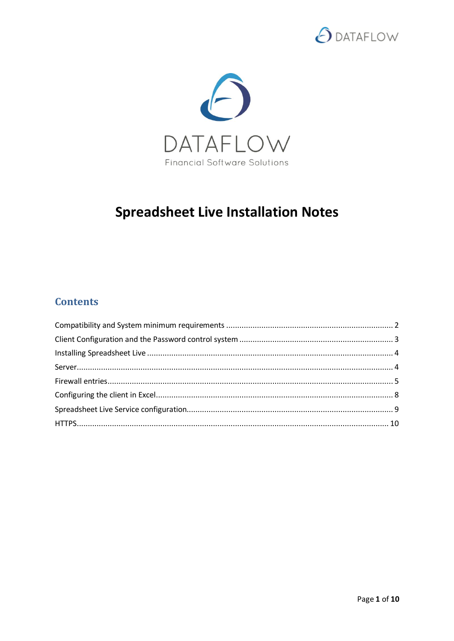



# **Spreadsheet Live Installation Notes**

# **Contents**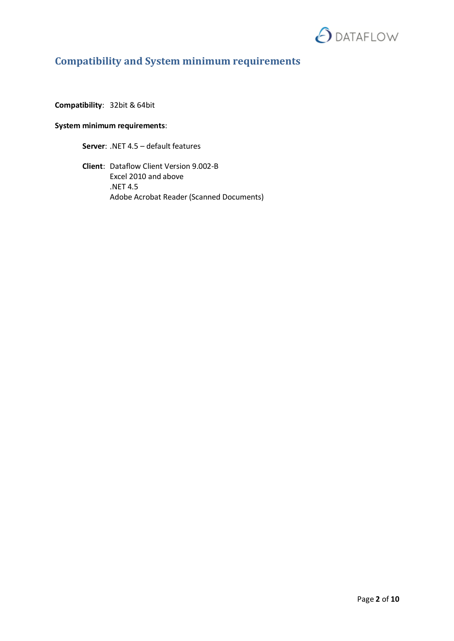

# <span id="page-1-0"></span>**Compatibility and System minimum requirements**

**Compatibility**: 32bit & 64bit

### **System minimum requirements**:

**Server**: .NET 4.5 – default features

**Client**: Dataflow Client Version 9.002-B Excel 2010 and above .NET 4.5 Adobe Acrobat Reader (Scanned Documents)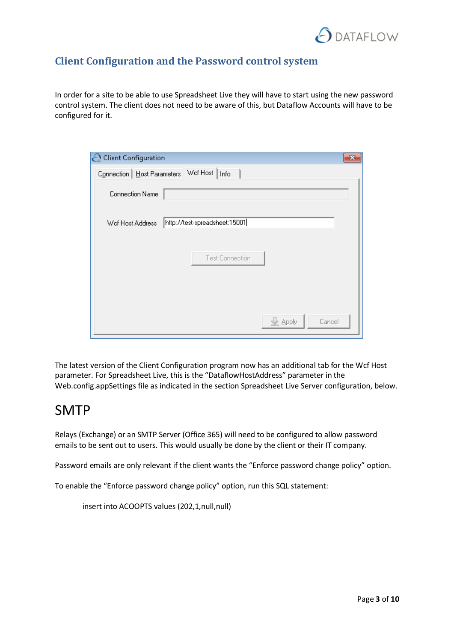

### <span id="page-2-0"></span>**Client Configuration and the Password control system**

In order for a site to be able to use Spreadsheet Live they will have to start using the new password control system. The client does not need to be aware of this, but Dataflow Accounts will have to be configured for it.

| C Client Configuration                            |  |
|---------------------------------------------------|--|
| Connection   Host Parameters   Wof Host<br>  Info |  |
| Connection Name                                   |  |
| http://test-spreadsheet:15001<br>Wef Host Address |  |
| Test Connection                                   |  |
| e Apply<br>Cancel                                 |  |

The latest version of the Client Configuration program now has an additional tab for the Wcf Host parameter. For Spreadsheet Live, this is the "DataflowHostAddress" parameter in the Web.config.appSettings file as indicated in the section Spreadsheet Live Server configuration, below.

# SMTP

Relays (Exchange) or an SMTP Server (Office 365) will need to be configured to allow password emails to be sent out to users. This would usually be done by the client or their IT company.

Password emails are only relevant if the client wants the "Enforce password change policy" option.

To enable the "Enforce password change policy" option, run this SQL statement:

insert into ACOOPTS values (202,1,null,null)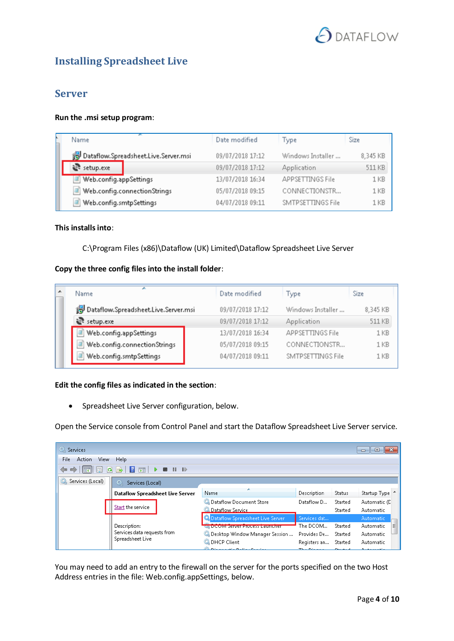

# <span id="page-3-1"></span><span id="page-3-0"></span>**Installing Spreadsheet Live**

### **Server**

#### **Run the .msi setup program**:

| Name                                 | Date modified    | Type                    | Size     |
|--------------------------------------|------------------|-------------------------|----------|
| Dataflow.Spreadsheet.Live.Server.msi | 09/07/2018 17:12 | Windows Installer       | 8,345 KB |
| setup.exe                            | 09/07/2018 17:12 | <b>Application</b>      | 511 KB   |
| Web.config.appSettings               | 13/07/2018 16:34 | <b>APPSETTINGS File</b> | 1 KB     |
| Web.config.connectionStrings         | 05/07/2018 09:15 | CONNECTIONSTR           | 1 KB     |
| Web.config.smtpSettings              | 04/07/2018 09:11 | SMTPSETTINGS File       | 1 KB     |

#### **This installs into**:

#### C:\Program Files (x86)\Dataflow (UK) Limited\Dataflow Spreadsheet Live Server

#### **Copy the three config files into the install folder**:

| ∽<br>Name                            | Date modified    | Type                    | Size            |
|--------------------------------------|------------------|-------------------------|-----------------|
| Dataflow.Spreadsheet.Live.Server.msi | 09/07/2018 17:12 | Windows Installer       | 8,345 KB        |
| setup.exe                            | 09/07/2018 17:12 | Application             | 511 KB          |
| Web.config.appSettings               | 13/07/2018 16:34 | <b>APPSETTINGS File</b> | 1 <sub>KB</sub> |
| Web.config.connectionStrings         | 05/07/2018 09:15 | CONNECTIONSTR           | 1 KB            |
| Web.config.smtpSettings              | 04/07/2018 09:11 | SMTPSETTINGS File       | 1 <sub>KB</sub> |

#### **Edit the config files as indicated in the section**:

Spreadsheet Live Server configuration, below.

Open the Service console from Control Panel and start the Dataflow Spreadsheet Live Server service.

| <b>Q.</b> Services<br>$-23$<br>▣<br>$\Box$ |                        |                                   |                                                 |                 |                |                       |  |
|--------------------------------------------|------------------------|-----------------------------------|-------------------------------------------------|-----------------|----------------|-----------------------|--|
| File<br>Action<br>View<br>Help             |                        |                                   |                                                 |                 |                |                       |  |
| Œ                                          |                        |                                   |                                                 |                 |                |                       |  |
| Services (Local)<br><b>10L</b>             | Services (Local)<br>Ο. |                                   |                                                 |                 |                |                       |  |
| Name<br>Dataflow Spreadsheet Live Server   |                        |                                   |                                                 | Description     | Status         | Startup Type 4        |  |
|                                            |                        |                                   | Dataflow Document Store                         | Dataflow D      | Started        | Automatic (C          |  |
|                                            | Start the service      |                                   | Dataflow Service                                |                 | Started        | <b>Automatic</b>      |  |
|                                            |                        |                                   | Dataflow Spreadsheet Live Server                | Services dat    |                | Automatic             |  |
|                                            | Description:           |                                   | <b>Company of the Server Process Lauricrier</b> | The DCOM        | Started        | <b>Automatic</b><br>Ξ |  |
| Services data requests from                |                        | C. Desktop Window Manager Session | Provides De                                     | Started         | Automatic      |                       |  |
|                                            | Spreadsheet Live       |                                   | <b>O.</b> DHCP Client                           | Registers an    | Started        | Automatic             |  |
|                                            |                        |                                   | <b>The Principal Constitution Constitution</b>  | The Distance of | <b>Channel</b> | والمستحدث والمستحدث   |  |

You may need to add an entry to the firewall on the server for the ports specified on the two Host Address entries in the file: Web.config.appSettings, below.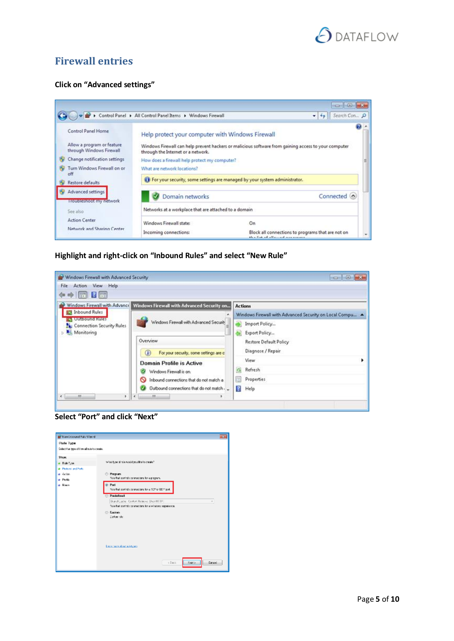

### <span id="page-4-0"></span>**Firewall entries**

#### **Click on "Advanced settings"**



**Highlight and right-click on "Inbound Rules" and select "New Rule"**



**Select "Port" and click "Next"**

| <b>Britain Manufacture Wilde</b>         |                                                                                |  |
|------------------------------------------|--------------------------------------------------------------------------------|--|
| <b>Rule Type</b>                         |                                                                                |  |
| Selective Spe of frevall subjects as Me. |                                                                                |  |
| <b>Slow:</b>                             |                                                                                |  |
| · Buildings                              | What is a similar outlook at its assistant                                     |  |
| <b>a</b> Piotoxi and Fork                |                                                                                |  |
| a Acion                                  | <b>C Program</b>                                                               |  |
| # Profile                                | Fisie frei: portada connections for a program.                                 |  |
| a Naos                                   | <sup>in</sup> Port<br>fisie frei; portado connector e for e 107° or UU fi pot. |  |
|                                          | <sup>(b)</sup> Predefined:                                                     |  |
|                                          | BranchCaphe - Content Retievel Discrimination                                  |  |
|                                          | Fisie final: postatis conmeditions for a windows experience.                   |  |
|                                          | (2) Darbon<br>Darkow rate.                                                     |  |
|                                          |                                                                                |  |
|                                          | Lease more about week peer                                                     |  |
|                                          | Nick><br>$5.96\%$<br>Escal                                                     |  |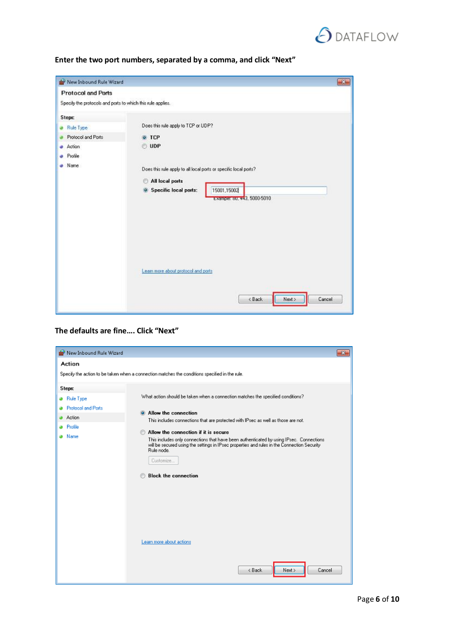

| Enter the two port numbers, separated by a comma, and click "Next" |  |  |
|--------------------------------------------------------------------|--|--|
|--------------------------------------------------------------------|--|--|

| New Inbound Rule Wizard                                                              |                                                                                                                                                                                                                                           | $\alpha$ |
|--------------------------------------------------------------------------------------|-------------------------------------------------------------------------------------------------------------------------------------------------------------------------------------------------------------------------------------------|----------|
| <b>Protocol and Ports</b>                                                            |                                                                                                                                                                                                                                           |          |
| Specify the protocols and ports to which this rule applies.                          |                                                                                                                                                                                                                                           |          |
| <b>Steps:</b><br>Rule Type<br>Protocol and Ports<br><b>Action</b><br>Profile<br>Name | Does this rule apply to TCP or UDP?<br>o TCP<br><b>UDP</b><br>Does this rule apply to all local ports or specific local ports?<br>All local ports<br>O<br>15001,15002<br><b>Specific local ports:</b><br>o<br>Example: 80, 443, 5000-5010 |          |
|                                                                                      | Learn more about protocol and ports<br>< Back<br>Cancel<br>Next >                                                                                                                                                                         |          |

#### **The defaults are fine…. Click "Next"**

| <b>New Inbound Rule Wizard</b> | $\mathbf{x}$                                                                                                                                                                                                                                     |
|--------------------------------|--------------------------------------------------------------------------------------------------------------------------------------------------------------------------------------------------------------------------------------------------|
| Action                         |                                                                                                                                                                                                                                                  |
|                                | Specify the action to be taken when a connection matches the conditions specified in the rule.                                                                                                                                                   |
| Steps:                         |                                                                                                                                                                                                                                                  |
| <b>Rule Type</b>               | What action should be taken when a connection matches the specified conditions?                                                                                                                                                                  |
| <b>Protocol and Ports</b>      | Allow the connection                                                                                                                                                                                                                             |
| Action                         | This includes connections that are protected with IPsec as well as those are not.                                                                                                                                                                |
| Profile                        | Allow the connection if it is secure                                                                                                                                                                                                             |
| Name                           | This includes only connections that have been authenticated by using IPsec. Connections<br>will be secured using the settings in IPsec properties and rules in the Connection Security<br>Rule node.<br>Customize<br><b>Block the connection</b> |
|                                | Learn more about actions<br>< Back<br>Cancel<br>Next >                                                                                                                                                                                           |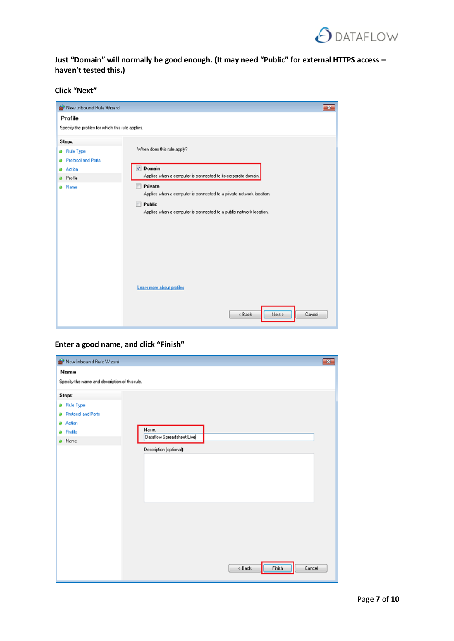

**Just "Domain" will normally be good enough. (It may need "Public" for external HTTPS access – haven't tested this.)**

**Click "Next"** 

| <b>No</b> New Inbound Rule Wizard                 | $-x$                                                                                                                                                                  |
|---------------------------------------------------|-----------------------------------------------------------------------------------------------------------------------------------------------------------------------|
| Profile                                           |                                                                                                                                                                       |
| Specify the profiles for which this rule applies. |                                                                                                                                                                       |
| Steps:                                            |                                                                                                                                                                       |
| <b>Rule Type</b>                                  | When does this rule apply?                                                                                                                                            |
| Protocol and Ports                                |                                                                                                                                                                       |
| Action<br>Profile                                 | Domain<br>Applies when a computer is connected to its corporate domain.                                                                                               |
| Name                                              | Private<br>Applies when a computer is connected to a private network location.<br>$\Box$ Public<br>Applies when a computer is connected to a public network location. |
|                                                   | Learn more about profiles<br>< Back<br>Next ><br>Cancel                                                                                                               |

**Enter a good name, and click "Finish"**

| New Inbound Rule Wizard                        | $\overline{\mathbf{x}}$            |
|------------------------------------------------|------------------------------------|
| Name                                           |                                    |
| Specify the name and description of this rule. |                                    |
| Steps:                                         |                                    |
| <b>a</b> Rule Type                             |                                    |
| Protocol and Ports                             |                                    |
| Action<br>۵                                    |                                    |
| <sup>a</sup> Profile                           | Name:<br>Dataflow Spreadsheet Live |
| Name                                           |                                    |
|                                                | Description (optional):            |
|                                                |                                    |
|                                                |                                    |
|                                                |                                    |
|                                                |                                    |
|                                                |                                    |
|                                                |                                    |
|                                                |                                    |
|                                                |                                    |
|                                                |                                    |
|                                                |                                    |
|                                                |                                    |
|                                                |                                    |
|                                                | < Back<br>Finish<br>Cancel         |
|                                                |                                    |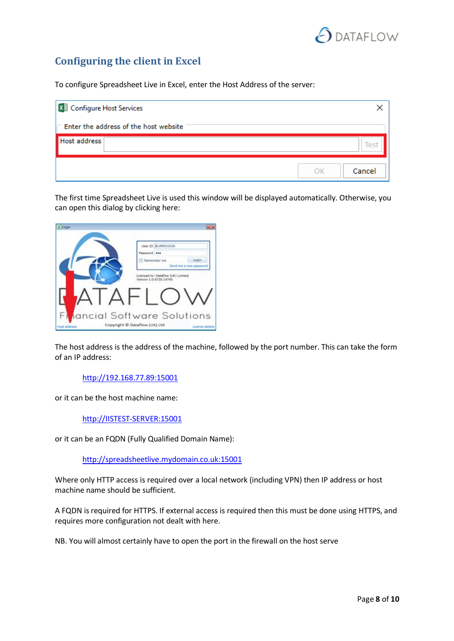

# <span id="page-7-0"></span>**Configuring the client in Excel**

To configure Spreadsheet Live in Excel, enter the Host Address of the server:

| <b>X</b> Configure Host Services |                                       |        |
|----------------------------------|---------------------------------------|--------|
|                                  | Enter the address of the host website |        |
| <b>Host address</b>              |                                       | Test   |
|                                  | OK                                    | Cancel |

The first time Spreadsheet Live is used this window will be displayed automatically. Otherwise, you can open this dialog by clicking here:

| Libraries |                                                              |                        |
|-----------|--------------------------------------------------------------|------------------------|
|           | User ID BUPERVISOR                                           |                        |
|           | Password                                                     |                        |
|           | Remember me                                                  | Looin                  |
|           |                                                              | Send me a new password |
|           | Licensed to: Dataflow (UK) Limited<br>Version 1.0.6730.14740 |                        |
|           |                                                              |                        |

The host address is the address of the machine, followed by the port number. This can take the form of an IP address:

[http://192.168.77.89:15001](http://192.168.77.89:15001/)

or it can be the host machine name:

[http://IISTEST-SERVER:15001](http://iistest-server:15001/)

or it can be an FQDN (Fully Qualified Domain Name):

[http://spreadsheetlive.mydomain.co.uk:15001](http://spreadsheetlive.mydomain.co.uk:15001/)

Where only HTTP access is required over a local network (including VPN) then IP address or host machine name should be sufficient.

A FQDN is required for HTTPS. If external access is required then this must be done using HTTPS, and requires more configuration not dealt with here.

NB. You will almost certainly have to open the port in the firewall on the host serve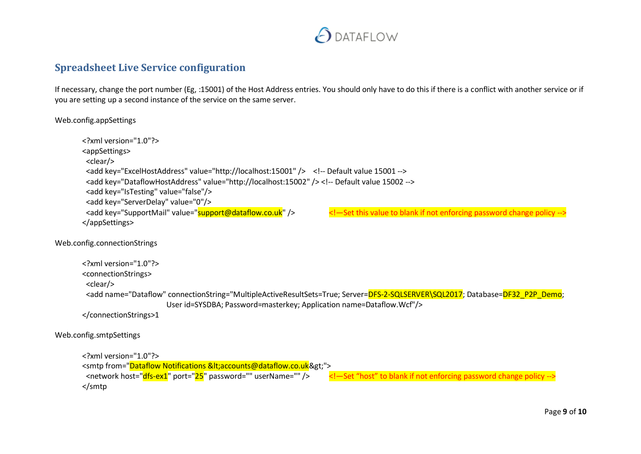

### **Spreadsheet Live Service configuration**

If necessary, change the port number (Eg, :15001) of the Host Address entries. You should only have to do this if there is a conflict with another service or if you are setting up a second instance of the service on the same server.

Web.config.appSettings

```
<?xml version="1.0"?>
        <appSettings>
          <clear/>
          <add key="ExcelHostAddress" value="http://localhost:15001" /> <!-- Default value 15001 -->
          <add key="DataflowHostAddress" value="http://localhost:15002" /> <!-- Default value 15002 -->
          <add key="IsTesting" value="false"/>
         <add key="ServerDelay" value="0"/><br><add key="SupportMail" value="support@dataflow.co.uk" />
                                                                               <!- Set this value to blank if not enforcing password change policy -->
        </appSettings>
Web.config.connectionStrings
        <?xml version="1.0"?>
        <connectionStrings>
         <clear/>
         <add name="Dataflow" connectionString="MultipleActiveResultSets=True; Server=DFS-2-SQLSERVER\SQL2017; Database=DF32_P2P_Demo;
                                User id=SYSDBA; Password=masterkey; Application name=Dataflow.Wcf"/>
       </connectionStrings>1
Web.config.smtpSettings
        <?xml version="1.0"?>
        <smtp from="Dataflow Notifications &It;accounts@dataflow.co.uk&gt;">
         <network host="dfs-ex1" port="25" password="" userName="" /> <!—Set "host" to blank if not enforcing password change policy -->
        </smtp
```